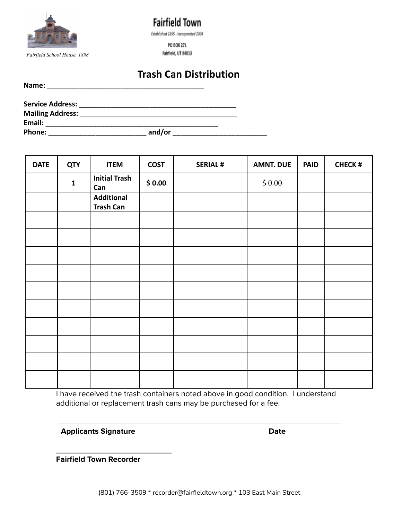

**Fairfield Town** Established 1855 - Incorporated 2004

PO BOX 271 Fairfield, UT 84013

## **Trash Can Distribution**

Name:

| Service Address:        |        |  |
|-------------------------|--------|--|
| <b>Mailing Address:</b> |        |  |
| Email:                  |        |  |
| <b>Phone:</b>           | and/or |  |

| <b>DATE</b> | <b>QTY</b>  | <b>ITEM</b>                           | <b>COST</b> | <b>SERIAL#</b> | <b>AMNT. DUE</b> | <b>PAID</b> | <b>CHECK#</b> |
|-------------|-------------|---------------------------------------|-------------|----------------|------------------|-------------|---------------|
|             | $\mathbf 1$ | <b>Initial Trash</b><br>Can           | \$0.00      |                | \$0.00           |             |               |
|             |             | <b>Additional</b><br><b>Trash Can</b> |             |                |                  |             |               |
|             |             |                                       |             |                |                  |             |               |
|             |             |                                       |             |                |                  |             |               |
|             |             |                                       |             |                |                  |             |               |
|             |             |                                       |             |                |                  |             |               |
|             |             |                                       |             |                |                  |             |               |
|             |             |                                       |             |                |                  |             |               |
|             |             |                                       |             |                |                  |             |               |
|             |             |                                       |             |                |                  |             |               |
|             |             |                                       |             |                |                  |             |               |
|             |             |                                       |             |                |                  |             |               |

I have received the trash containers noted above in good condition. I understand additional or replacement trash cans may be purchased for a fee.

**Applicants Signature Date**

**Fairfield Town Recorder**

**\_\_\_\_\_\_\_\_\_\_\_\_\_\_\_\_\_\_\_\_\_\_\_\_\_\_**